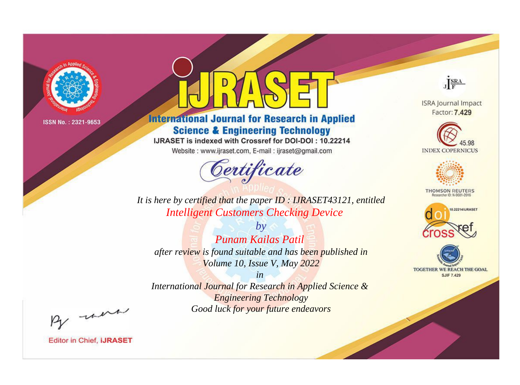

# **International Journal for Research in Applied Science & Engineering Technology**

IJRASET is indexed with Crossref for DOI-DOI: 10.22214

Website: www.ijraset.com, E-mail: ijraset@gmail.com



JERA

**ISRA Journal Impact** Factor: 7.429





**THOMSON REUTERS** 



TOGETHER WE REACH THE GOAL **SJIF 7.429** 

*It is here by certified that the paper ID : IJRASET43121, entitled Intelligent Customers Checking Device*

*by Punam Kailas Patil after review is found suitable and has been published in Volume 10, Issue V, May 2022*

*in* 

*International Journal for Research in Applied Science & Engineering Technology Good luck for your future endeavors*

By morn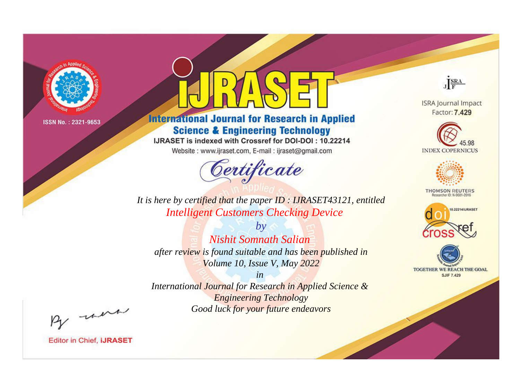

# **International Journal for Research in Applied Science & Engineering Technology**

IJRASET is indexed with Crossref for DOI-DOI: 10.22214

Website: www.ijraset.com, E-mail: ijraset@gmail.com



JERA

**ISRA Journal Impact** Factor: 7.429





**THOMSON REUTERS** 



TOGETHER WE REACH THE GOAL **SJIF 7.429** 

It is here by certified that the paper ID: IJRASET43121, entitled **Intelligent Customers Checking Device** 

 $b\nu$ Nishit Somnath Salian after review is found suitable and has been published in Volume 10, Issue V, May 2022

 $in$ International Journal for Research in Applied Science & **Engineering Technology** Good luck for your future endeavors

By morn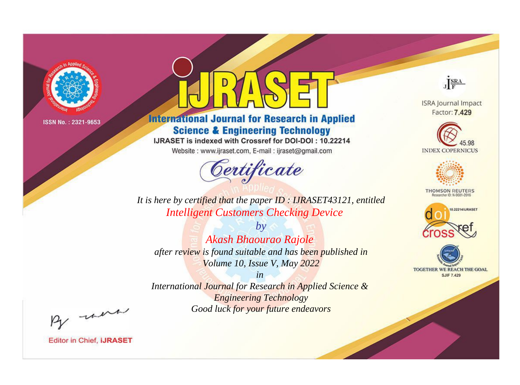

# **International Journal for Research in Applied Science & Engineering Technology**

IJRASET is indexed with Crossref for DOI-DOI: 10.22214

Website: www.ijraset.com, E-mail: ijraset@gmail.com



JERA

**ISRA Journal Impact** Factor: 7.429





**THOMSON REUTERS** 



TOGETHER WE REACH THE GOAL **SJIF 7.429** 

It is here by certified that the paper ID: IJRASET43121, entitled **Intelligent Customers Checking Device** 

 $by$ Akash Bhaourao Rajole after review is found suitable and has been published in Volume 10, Issue V, May 2022

 $in$ International Journal for Research in Applied Science & **Engineering Technology** Good luck for your future endeavors

By morn